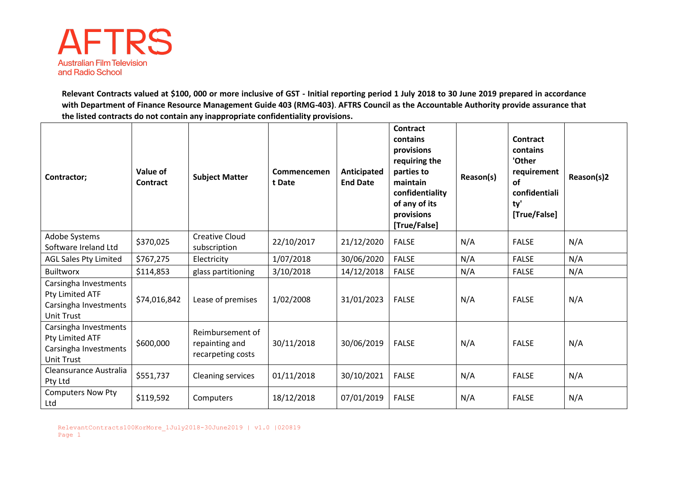

**Relevant Contracts valued at \$100, 000 or more inclusive of GST - Initial reporting period 1 July 2018 to 30 June 2019 prepared in accordance with Department of Finance Resource Management Guide 403 (RMG-403)**. **AFTRS Council as the Accountable Authority provide assurance that the listed contracts do not contain any inappropriate confidentiality provisions.**

| Contractor;                                                                            | Value of<br>Contract | <b>Subject Matter</b>                                   | Commencemen<br>t Date | Anticipated<br><b>End Date</b> | Contract<br>contains<br>provisions<br>requiring the<br>parties to<br>maintain<br>confidentiality<br>of any of its<br>provisions<br>[True/False] | Reason(s) | Contract<br>contains<br>'Other<br>requirement<br>of<br>confidentiali<br>ty'<br>[True/False] | Reason(s)2 |
|----------------------------------------------------------------------------------------|----------------------|---------------------------------------------------------|-----------------------|--------------------------------|-------------------------------------------------------------------------------------------------------------------------------------------------|-----------|---------------------------------------------------------------------------------------------|------------|
| Adobe Systems<br>Software Ireland Ltd                                                  | \$370,025            | <b>Creative Cloud</b><br>subscription                   | 22/10/2017            | 21/12/2020                     | <b>FALSE</b>                                                                                                                                    | N/A       | <b>FALSE</b>                                                                                | N/A        |
| <b>AGL Sales Pty Limited</b>                                                           | \$767,275            | Electricity                                             | 1/07/2018             | 30/06/2020                     | <b>FALSE</b>                                                                                                                                    | N/A       | <b>FALSE</b>                                                                                | N/A        |
| <b>Builtworx</b>                                                                       | \$114,853            | glass partitioning                                      | 3/10/2018             | 14/12/2018                     | <b>FALSE</b>                                                                                                                                    | N/A       | <b>FALSE</b>                                                                                | N/A        |
| Carsingha Investments<br>Pty Limited ATF<br>Carsingha Investments<br><b>Unit Trust</b> | \$74,016,842         | Lease of premises                                       | 1/02/2008             | 31/01/2023                     | <b>FALSE</b>                                                                                                                                    | N/A       | <b>FALSE</b>                                                                                | N/A        |
| Carsingha Investments<br>Pty Limited ATF<br>Carsingha Investments<br><b>Unit Trust</b> | \$600,000            | Reimbursement of<br>repainting and<br>recarpeting costs | 30/11/2018            | 30/06/2019                     | <b>FALSE</b>                                                                                                                                    | N/A       | <b>FALSE</b>                                                                                | N/A        |
| Cleansurance Australia<br>Pty Ltd                                                      | \$551,737            | <b>Cleaning services</b>                                | 01/11/2018            | 30/10/2021                     | <b>FALSE</b>                                                                                                                                    | N/A       | <b>FALSE</b>                                                                                | N/A        |
| <b>Computers Now Pty</b><br>Ltd                                                        | \$119,592            | Computers                                               | 18/12/2018            | 07/01/2019                     | <b>FALSE</b>                                                                                                                                    | N/A       | <b>FALSE</b>                                                                                | N/A        |